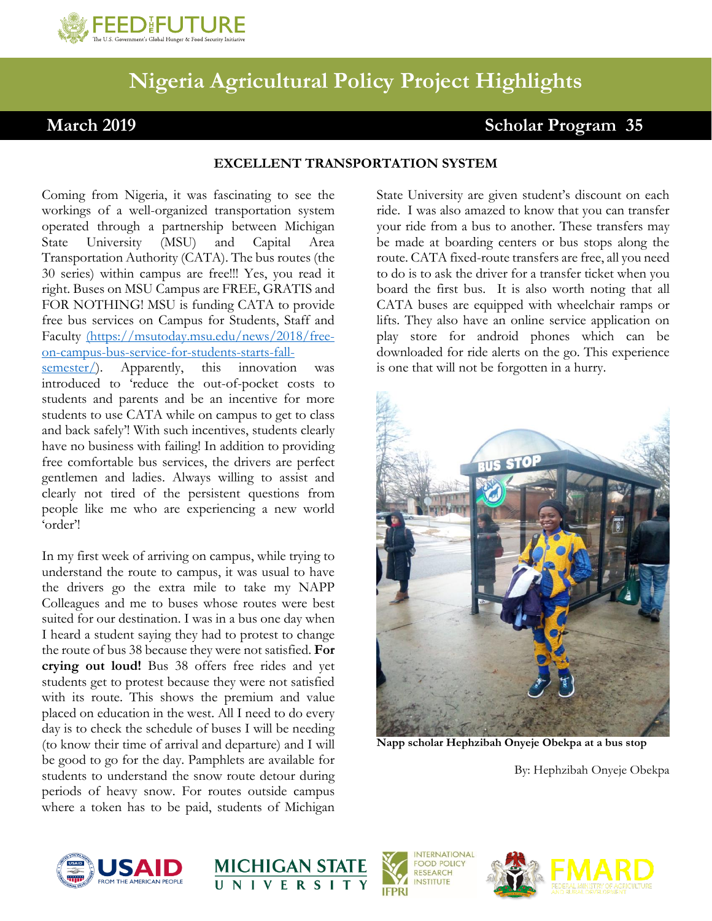

## **Nigeria Agricultural Policy Project Highlights**

## March 2019 Scholar Program 35

## **EXCELLENT TRANSPORTATION SYSTEM**

Coming from Nigeria, it was fascinating to see the workings of a well-organized transportation system operated through a partnership between Michigan State University (MSU) and Capital Area Transportation Authority (CATA). The bus routes (the 30 series) within campus are free!!! Yes, you read it right. Buses on MSU Campus are FREE, GRATIS and FOR NOTHING! MSU is funding CATA to provide free bus services on Campus for Students, Staff and Faculty [\(https://msutoday.msu.edu/news/2018/free](file:///C:/Users/longabau/Dropbox/NAPP%20MSU%20MANAGEMENT%20TEAM/workingdocuments/(https:/msutoday.msu.edu/news/2018/free-on-campus-bus-service-for-students-starts-fall-semester/)[on-campus-bus-service-for-students-starts-fall](file:///C:/Users/longabau/Dropbox/NAPP%20MSU%20MANAGEMENT%20TEAM/workingdocuments/(https:/msutoday.msu.edu/news/2018/free-on-campus-bus-service-for-students-starts-fall-semester/)[semester/\)](file:///C:/Users/longabau/Dropbox/NAPP%20MSU%20MANAGEMENT%20TEAM/workingdocuments/(https:/msutoday.msu.edu/news/2018/free-on-campus-bus-service-for-students-starts-fall-semester/). Apparently, this innovation was introduced to 'reduce the out-of-pocket costs to students and parents and be an incentive for more students to use CATA while on campus to get to class and back safely'! With such incentives, students clearly have no business with failing! In addition to providing free comfortable bus services, the drivers are perfect gentlemen and ladies. Always willing to assist and

clearly not tired of the persistent questions from people like me who are experiencing a new world 'order'!

In my first week of arriving on campus, while trying to understand the route to campus, it was usual to have the drivers go the extra mile to take my NAPP Colleagues and me to buses whose routes were best suited for our destination. I was in a bus one day when I heard a student saying they had to protest to change the route of bus 38 because they were not satisfied. **For crying out loud!** Bus 38 offers free rides and yet students get to protest because they were not satisfied with its route. This shows the premium and value placed on education in the west. All I need to do every day is to check the schedule of buses I will be needing (to know their time of arrival and departure) and I will be good to go for the day. Pamphlets are available for students to understand the snow route detour during periods of heavy snow. For routes outside campus where a token has to be paid, students of Michigan

State University are given student's discount on each ride. I was also amazed to know that you can transfer your ride from a bus to another. These transfers may be made at boarding centers or bus stops along the route. CATA fixed-route transfers are free, all you need to do is to ask the driver for a transfer ticket when you board the first bus. It is also worth noting that all CATA buses are equipped with wheelchair ramps or lifts. They also have an online service application on play store for android phones which can be downloaded for ride alerts on the go. This experience is one that will not be forgotten in a hurry.



**Napp scholar Hephzibah Onyeje Obekpa at a bus stop** 

By: Hephzibah Onyeje Obekpa